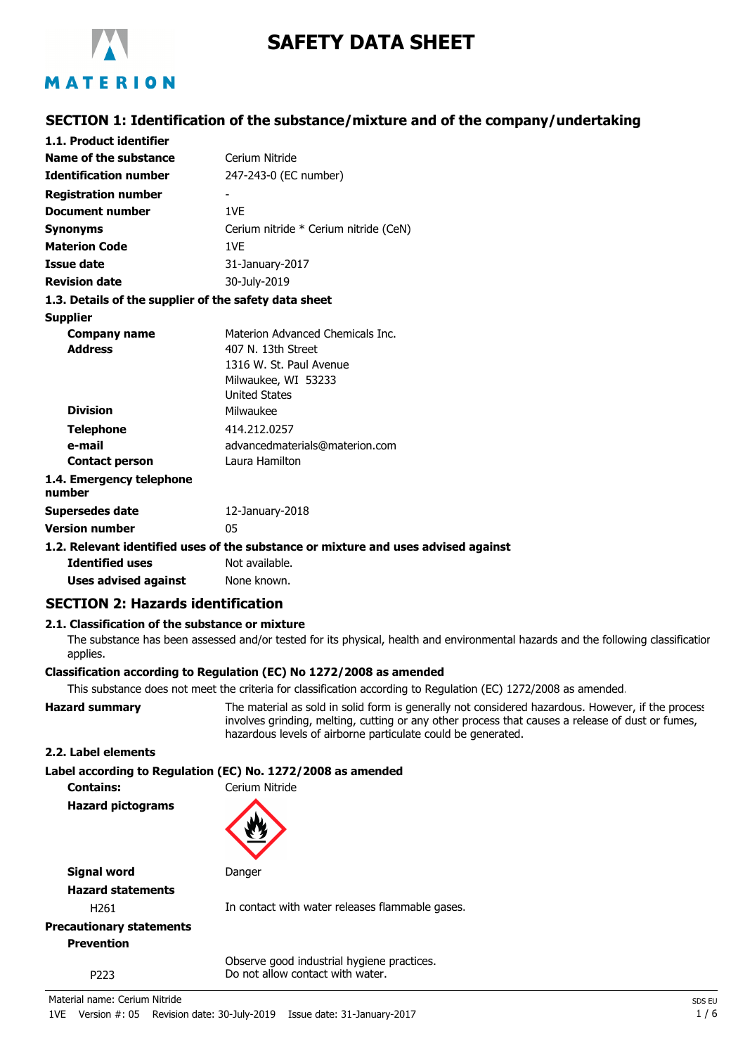

# **SAFETY DATA SHEET**

## **SECTION 1: Identification of the substance/mixture and of the company/undertaking**

| 1.1. Product identifier                               |                                                                                    |
|-------------------------------------------------------|------------------------------------------------------------------------------------|
| Name of the substance                                 | Cerium Nitride                                                                     |
| <b>Identification number</b>                          | 247-243-0 (EC number)                                                              |
| <b>Registration number</b>                            |                                                                                    |
| <b>Document number</b>                                | 1VF                                                                                |
| Synonyms                                              | Cerium nitride * Cerium nitride (CeN)                                              |
| <b>Materion Code</b>                                  | 1VF                                                                                |
| <b>Issue date</b>                                     | 31-January-2017                                                                    |
| <b>Revision date</b>                                  | 30-July-2019                                                                       |
| 1.3. Details of the supplier of the safety data sheet |                                                                                    |
| <b>Supplier</b>                                       |                                                                                    |
| Company name                                          | Materion Advanced Chemicals Inc.                                                   |
| <b>Address</b>                                        | 407 N. 13th Street                                                                 |
|                                                       | 1316 W. St. Paul Avenue                                                            |
|                                                       | Milwaukee, WI 53233                                                                |
|                                                       | <b>United States</b>                                                               |
| <b>Division</b>                                       | Milwaukee                                                                          |
| <b>Telephone</b>                                      | 414.212.0257                                                                       |
| e-mail                                                | advancedmaterials@materion.com                                                     |
| <b>Contact person</b>                                 | Laura Hamilton                                                                     |
| 1.4. Emergency telephone<br>number                    |                                                                                    |
| Supersedes date                                       | 12-January-2018                                                                    |
| <b>Version number</b>                                 | 05                                                                                 |
|                                                       | 1.2. Relevant identified uses of the substance or mixture and uses advised against |
| <b>Identified uses</b>                                | Not available.                                                                     |
|                                                       |                                                                                    |

**Uses advised against** None known.

## **SECTION 2: Hazards identification**

### **2.1. Classification of the substance or mixture**

The substance has been assessed and/or tested for its physical, health and environmental hazards and the following classification applies.

#### **Classification according to Regulation (EC) No 1272/2008 as amended**

This substance does not meet the criteria for classification according to Regulation (EC) 1272/2008 as amended.

**Hazard summary** The material as sold in solid form is generally not considered hazardous. However, if the process involves grinding, melting, cutting or any other process that causes a release of dust or fumes, hazardous levels of airborne particulate could be generated.

#### **2.2. Label elements**

#### **Label according to Regulation (EC) No. 1272/2008 as amended**

**Contains:** Cerium Nitride **Hazard pictograms**



**Signal word Danger Hazard statements**

H261 In contact with water releases flammable gases.

## **Precautionary statements Prevention**

Observe good industrial hygiene practices. P223 Do not allow contact with water.

Material name: Cerium Nitride Space of the Superior Cerium Accounts and the Superior Space of the Superior Space of Space of Space of Space of Space of Space of Space of Space of Space of Space of Space of Space of Space o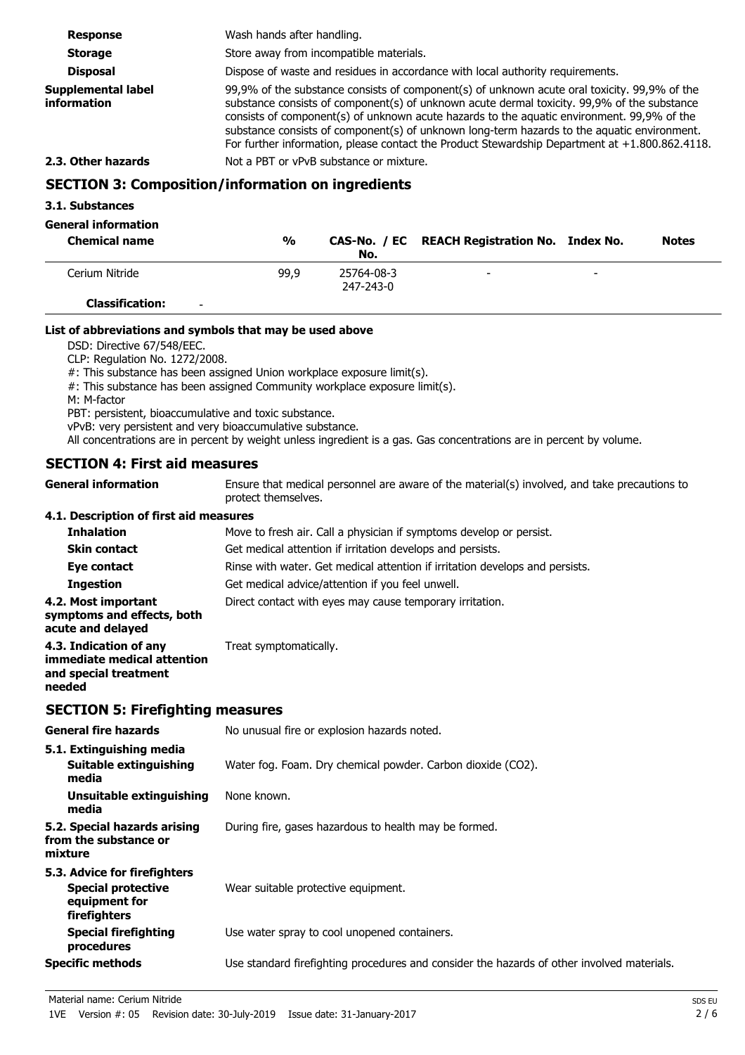| <b>Response</b>                                          | Wash hands after handling. |                                                                                                                                                                                                                                                                                                                                                                                                                                                                                               |                                                                                |  |              |
|----------------------------------------------------------|----------------------------|-----------------------------------------------------------------------------------------------------------------------------------------------------------------------------------------------------------------------------------------------------------------------------------------------------------------------------------------------------------------------------------------------------------------------------------------------------------------------------------------------|--------------------------------------------------------------------------------|--|--------------|
| <b>Storage</b>                                           |                            | Store away from incompatible materials.                                                                                                                                                                                                                                                                                                                                                                                                                                                       |                                                                                |  |              |
| <b>Disposal</b>                                          |                            |                                                                                                                                                                                                                                                                                                                                                                                                                                                                                               | Dispose of waste and residues in accordance with local authority requirements. |  |              |
| <b>Supplemental label</b><br>information                 |                            | 99,9% of the substance consists of component(s) of unknown acute oral toxicity. 99,9% of the<br>substance consists of component(s) of unknown acute dermal toxicity. 99,9% of the substance<br>consists of component(s) of unknown acute hazards to the aquatic environment. 99,9% of the<br>substance consists of component(s) of unknown long-term hazards to the aquatic environment.<br>For further information, please contact the Product Stewardship Department at $+1.800.862.4118$ . |                                                                                |  |              |
| 2.3. Other hazards                                       |                            | Not a PBT or vPvB substance or mixture.                                                                                                                                                                                                                                                                                                                                                                                                                                                       |                                                                                |  |              |
| <b>SECTION 3: Composition/information on ingredients</b> |                            |                                                                                                                                                                                                                                                                                                                                                                                                                                                                                               |                                                                                |  |              |
| 3.1. Substances                                          |                            |                                                                                                                                                                                                                                                                                                                                                                                                                                                                                               |                                                                                |  |              |
| <b>General information</b>                               |                            |                                                                                                                                                                                                                                                                                                                                                                                                                                                                                               |                                                                                |  |              |
| <b>Chemical name</b>                                     | $\frac{0}{0}$              | CAS-No. / EC<br>No.                                                                                                                                                                                                                                                                                                                                                                                                                                                                           | <b>REACH Registration No. Index No.</b>                                        |  | <b>Notes</b> |
| Cerium Nitride                                           | 99,9                       | 25764-08-3<br>247-243-0                                                                                                                                                                                                                                                                                                                                                                                                                                                                       |                                                                                |  |              |

**Classification:** -

#### **List of abbreviations and symbols that may be used above**

DSD: Directive 67/548/EEC.

CLP: Regulation No. 1272/2008.

#: This substance has been assigned Union workplace exposure limit(s).

- #: This substance has been assigned Community workplace exposure limit(s).
- M: M-factor

PBT: persistent, bioaccumulative and toxic substance.

vPvB: very persistent and very bioaccumulative substance.

All concentrations are in percent by weight unless ingredient is a gas. Gas concentrations are in percent by volume.

### **SECTION 4: First aid measures**

Ensure that medical personnel are aware of the material(s) involved, and take precautions to protect themselves. **General information**

### **4.1. Description of first aid measures**

| <b>Inhalation</b>                                                                        | Move to fresh air. Call a physician if symptoms develop or persist.          |
|------------------------------------------------------------------------------------------|------------------------------------------------------------------------------|
| <b>Skin contact</b>                                                                      | Get medical attention if irritation develops and persists.                   |
| Eye contact                                                                              | Rinse with water. Get medical attention if irritation develops and persists. |
| <b>Ingestion</b>                                                                         | Get medical advice/attention if you feel unwell.                             |
| 4.2. Most important<br>symptoms and effects, both<br>acute and delayed                   | Direct contact with eyes may cause temporary irritation.                     |
| 4.3. Indication of any<br>immediate medical attention<br>and special treatment<br>needed | Treat symptomatically.                                                       |

#### **SECTION 5: Firefighting measures**

| <b>General fire hazards</b>                                                                | No unusual fire or explosion hazards noted.                                                |
|--------------------------------------------------------------------------------------------|--------------------------------------------------------------------------------------------|
| 5.1. Extinguishing media<br>Suitable extinguishing<br>media                                | Water fog. Foam. Dry chemical powder. Carbon dioxide (CO2).                                |
| Unsuitable extinguishing<br>media                                                          | None known.                                                                                |
| 5.2. Special hazards arising<br>from the substance or<br>mixture                           | During fire, gases hazardous to health may be formed.                                      |
| 5.3. Advice for firefighters<br><b>Special protective</b><br>equipment for<br>firefighters | Wear suitable protective equipment.                                                        |
| Special firefighting<br>procedures                                                         | Use water spray to cool unopened containers.                                               |
| <b>Specific methods</b>                                                                    | Use standard firefighting procedures and consider the hazards of other involved materials. |
|                                                                                            |                                                                                            |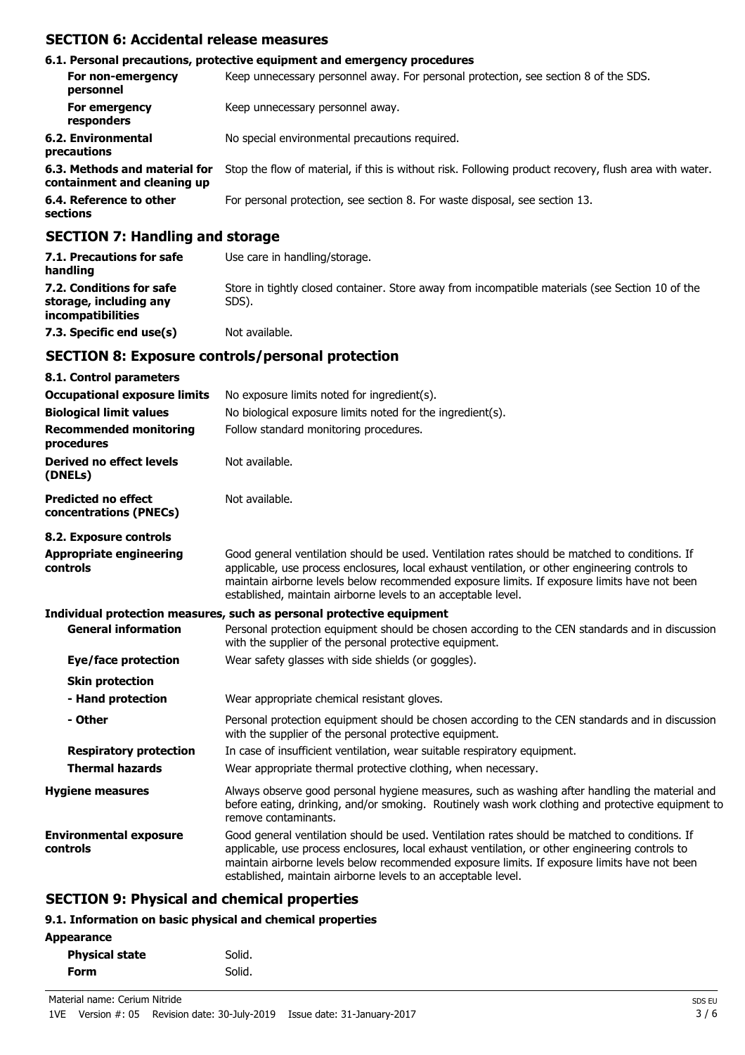## **SECTION 6: Accidental release measures**

|                                                              | 6.1. Personal precautions, protective equipment and emergency procedures                               |
|--------------------------------------------------------------|--------------------------------------------------------------------------------------------------------|
| For non-emergency<br>personnel                               | Keep unnecessary personnel away. For personal protection, see section 8 of the SDS.                    |
| For emergency<br>responders                                  | Keep unnecessary personnel away.                                                                       |
| 6.2. Environmental<br>precautions                            | No special environmental precautions required.                                                         |
| 6.3. Methods and material for<br>containment and cleaning up | Stop the flow of material, if this is without risk. Following product recovery, flush area with water. |
| 6.4. Reference to other<br>sections                          | For personal protection, see section 8. For waste disposal, see section 13.                            |
| <b>SECTION 7: Handling and storage</b>                       |                                                                                                        |

| 7.1. Precautions for safe<br>handling                                   | Use care in handling/storage.                                                                             |
|-------------------------------------------------------------------------|-----------------------------------------------------------------------------------------------------------|
| 7.2. Conditions for safe<br>storage, including any<br>incompatibilities | Store in tightly closed container. Store away from incompatible materials (see Section 10 of the<br>SDS). |
| 7.3. Specific end use(s)                                                | Not available.                                                                                            |

### **SECTION 8: Exposure controls/personal protection**

| 8.1. Control parameters                              |                                                                                                                                                                                                                                                                                                                                                                    |
|------------------------------------------------------|--------------------------------------------------------------------------------------------------------------------------------------------------------------------------------------------------------------------------------------------------------------------------------------------------------------------------------------------------------------------|
| <b>Occupational exposure limits</b>                  | No exposure limits noted for ingredient(s).                                                                                                                                                                                                                                                                                                                        |
| <b>Biological limit values</b>                       | No biological exposure limits noted for the ingredient(s).                                                                                                                                                                                                                                                                                                         |
| <b>Recommended monitoring</b><br>procedures          | Follow standard monitoring procedures.                                                                                                                                                                                                                                                                                                                             |
| <b>Derived no effect levels</b><br>(DNELs)           | Not available.                                                                                                                                                                                                                                                                                                                                                     |
| <b>Predicted no effect</b><br>concentrations (PNECs) | Not available.                                                                                                                                                                                                                                                                                                                                                     |
| 8.2. Exposure controls                               |                                                                                                                                                                                                                                                                                                                                                                    |
| <b>Appropriate engineering</b><br>controls           | Good general ventilation should be used. Ventilation rates should be matched to conditions. If<br>applicable, use process enclosures, local exhaust ventilation, or other engineering controls to<br>maintain airborne levels below recommended exposure limits. If exposure limits have not been<br>established, maintain airborne levels to an acceptable level. |
|                                                      | Individual protection measures, such as personal protective equipment                                                                                                                                                                                                                                                                                              |
| <b>General information</b>                           | Personal protection equipment should be chosen according to the CEN standards and in discussion<br>with the supplier of the personal protective equipment.                                                                                                                                                                                                         |
| <b>Eye/face protection</b>                           | Wear safety glasses with side shields (or goggles).                                                                                                                                                                                                                                                                                                                |
| <b>Skin protection</b>                               |                                                                                                                                                                                                                                                                                                                                                                    |
| - Hand protection                                    | Wear appropriate chemical resistant gloves.                                                                                                                                                                                                                                                                                                                        |
| - Other                                              | Personal protection equipment should be chosen according to the CEN standards and in discussion<br>with the supplier of the personal protective equipment.                                                                                                                                                                                                         |
| <b>Respiratory protection</b>                        | In case of insufficient ventilation, wear suitable respiratory equipment.                                                                                                                                                                                                                                                                                          |
| <b>Thermal hazards</b>                               | Wear appropriate thermal protective clothing, when necessary.                                                                                                                                                                                                                                                                                                      |
| <b>Hygiene measures</b>                              | Always observe good personal hygiene measures, such as washing after handling the material and<br>before eating, drinking, and/or smoking. Routinely wash work clothing and protective equipment to<br>remove contaminants.                                                                                                                                        |
| <b>Environmental exposure</b><br>controls            | Good general ventilation should be used. Ventilation rates should be matched to conditions. If<br>applicable, use process enclosures, local exhaust ventilation, or other engineering controls to<br>maintain airborne levels below recommended exposure limits. If exposure limits have not been<br>established, maintain airborne levels to an acceptable level. |
| <b>SECTION 9: Physical and chemical properties</b>   |                                                                                                                                                                                                                                                                                                                                                                    |

## **9.1. Information on basic physical and chemical properties**

| <b>Physical state</b> | Solid. |
|-----------------------|--------|
| Form                  | Solid. |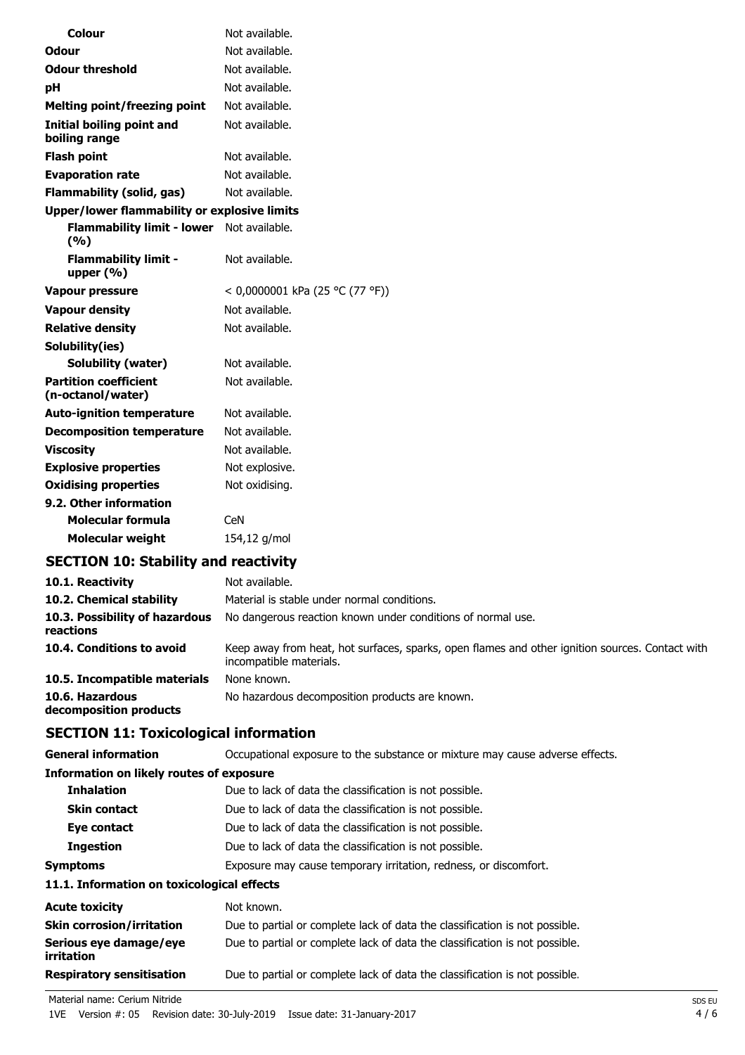| Colour                                            | Not available.                  |
|---------------------------------------------------|---------------------------------|
| Odour                                             | Not available.                  |
| <b>Odour threshold</b>                            | Not available.                  |
| рH                                                | Not available.                  |
| <b>Melting point/freezing point</b>               | Not available.                  |
| Initial boiling point and<br>boiling range        | Not available.                  |
| <b>Flash point</b>                                | Not available.                  |
| <b>Evaporation rate</b>                           | Not available.                  |
| Flammability (solid, gas)                         | Not available.                  |
| Upper/lower flammability or explosive limits      |                                 |
| <b>Flammability limit - lower</b><br>(%)          | Not available.                  |
| <b>Flammability limit -</b><br>upper $(% )$       | Not available.                  |
| <b>Vapour pressure</b>                            | < 0,0000001 kPa (25 °C (77 °F)) |
| <b>Vapour density</b>                             | Not available.                  |
| <b>Relative density</b>                           | Not available.                  |
| Solubility(ies)                                   |                                 |
| Solubility (water)                                | Not available.                  |
| <b>Partition coefficient</b><br>(n-octanol/water) | Not available.                  |
| <b>Auto-ignition temperature</b>                  | Not available.                  |
| <b>Decomposition temperature</b>                  | Not available.                  |
| <b>Viscosity</b>                                  | Not available.                  |
| <b>Explosive properties</b>                       | Not explosive.                  |
| <b>Oxidising properties</b>                       | Not oxidising.                  |
| 9.2. Other information                            |                                 |
| Molecular formula                                 | CeN                             |
| Molecular weight                                  | 154,12 g/mol                    |

## **SECTION 10: Stability and reactivity**

| 10.1. Reactivity                            | Not available.                                                                                                             |
|---------------------------------------------|----------------------------------------------------------------------------------------------------------------------------|
| 10.2. Chemical stability                    | Material is stable under normal conditions.                                                                                |
| 10.3. Possibility of hazardous<br>reactions | No dangerous reaction known under conditions of normal use.                                                                |
| 10.4. Conditions to avoid                   | Keep away from heat, hot surfaces, sparks, open flames and other ignition sources. Contact with<br>incompatible materials. |
| 10.5. Incompatible materials                | None known.                                                                                                                |
| 10.6. Hazardous<br>decomposition products   | No hazardous decomposition products are known.                                                                             |

## **SECTION 11: Toxicological information**

| <b>General information</b>                 | Occupational exposure to the substance or mixture may cause adverse effects. |  |
|--------------------------------------------|------------------------------------------------------------------------------|--|
| Information on likely routes of exposure   |                                                                              |  |
| <b>Inhalation</b>                          | Due to lack of data the classification is not possible.                      |  |
| <b>Skin contact</b>                        | Due to lack of data the classification is not possible.                      |  |
| Eye contact                                | Due to lack of data the classification is not possible.                      |  |
| <b>Ingestion</b>                           | Due to lack of data the classification is not possible.                      |  |
| <b>Symptoms</b>                            | Exposure may cause temporary irritation, redness, or discomfort.             |  |
| 11.1. Information on toxicological effects |                                                                              |  |
| <b>Acute toxicity</b>                      | Not known.                                                                   |  |
| <b>Skin corrosion/irritation</b>           | Due to partial or complete lack of data the classification is not possible.  |  |
| Serious eye damage/eye<br>irritation       | Due to partial or complete lack of data the classification is not possible.  |  |
| <b>Respiratory sensitisation</b>           | Due to partial or complete lack of data the classification is not possible.  |  |

Material name: Cerium Nitride SDS EU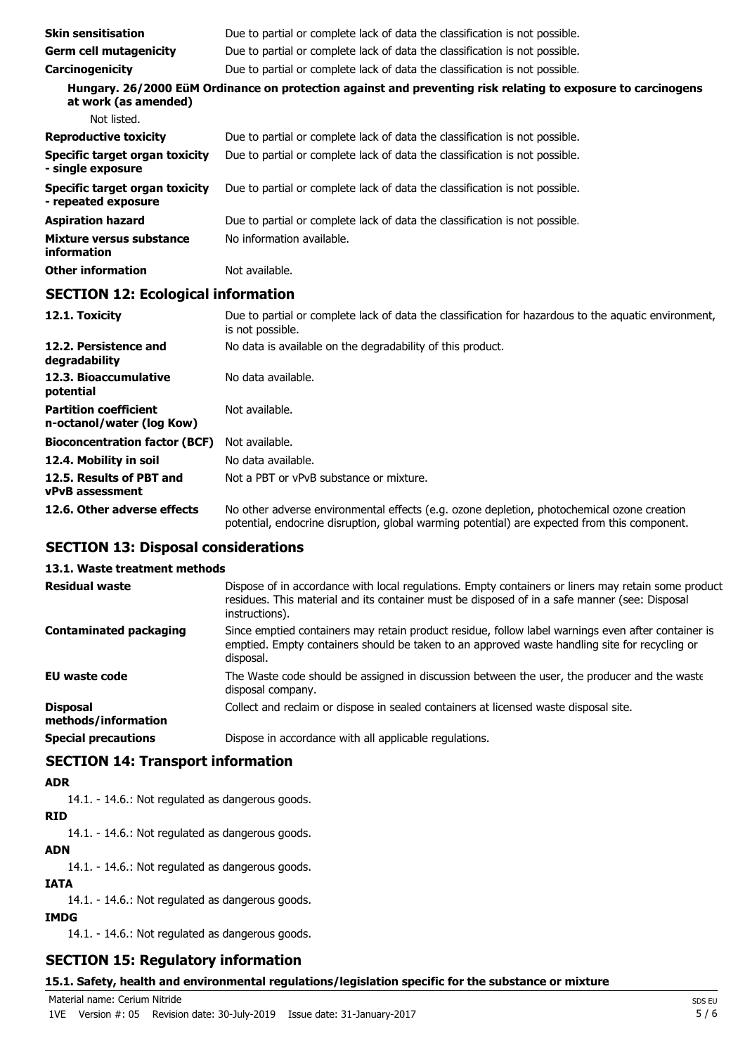| <b>Skin sensitisation</b>                                                                                                            | Due to partial or complete lack of data the classification is not possible. |  |
|--------------------------------------------------------------------------------------------------------------------------------------|-----------------------------------------------------------------------------|--|
| <b>Germ cell mutagenicity</b>                                                                                                        | Due to partial or complete lack of data the classification is not possible. |  |
| Carcinogenicity                                                                                                                      | Due to partial or complete lack of data the classification is not possible. |  |
| Hungary. 26/2000 EüM Ordinance on protection against and preventing risk relating to exposure to carcinogens<br>at work (as amended) |                                                                             |  |
| Not listed.                                                                                                                          |                                                                             |  |
| <b>Reproductive toxicity</b>                                                                                                         | Due to partial or complete lack of data the classification is not possible. |  |
| Specific target organ toxicity<br>- single exposure                                                                                  | Due to partial or complete lack of data the classification is not possible. |  |
| Specific target organ toxicity<br>- repeated exposure                                                                                | Due to partial or complete lack of data the classification is not possible. |  |
| <b>Aspiration hazard</b>                                                                                                             | Due to partial or complete lack of data the classification is not possible. |  |
| Mixture versus substance<br>information                                                                                              | No information available.                                                   |  |
| <b>Other information</b>                                                                                                             | Not available.                                                              |  |

### **SECTION 12: Ecological information**

| 12.1. Toxicity                                            | Due to partial or complete lack of data the classification for hazardous to the aquatic environment,<br>is not possible.                                                                   |
|-----------------------------------------------------------|--------------------------------------------------------------------------------------------------------------------------------------------------------------------------------------------|
| 12.2. Persistence and<br>degradability                    | No data is available on the degradability of this product.                                                                                                                                 |
| 12.3. Bioaccumulative<br>potential                        | No data available.                                                                                                                                                                         |
| <b>Partition coefficient</b><br>n-octanol/water (log Kow) | Not available.                                                                                                                                                                             |
| <b>Bioconcentration factor (BCF)</b>                      | Not available.                                                                                                                                                                             |
| 12.4. Mobility in soil                                    | No data available.                                                                                                                                                                         |
| 12.5. Results of PBT and<br><b>vPvB</b> assessment        | Not a PBT or vPvB substance or mixture.                                                                                                                                                    |
| 12.6. Other adverse effects                               | No other adverse environmental effects (e.g. ozone depletion, photochemical ozone creation<br>potential, endocrine disruption, global warming potential) are expected from this component. |

## **SECTION 13: Disposal considerations**

## **13.1. Waste treatment methods**

| <b>Residual waste</b>                  | Dispose of in accordance with local regulations. Empty containers or liners may retain some product<br>residues. This material and its container must be disposed of in a safe manner (see: Disposal<br>instructions). |
|----------------------------------------|------------------------------------------------------------------------------------------------------------------------------------------------------------------------------------------------------------------------|
| <b>Contaminated packaging</b>          | Since emptied containers may retain product residue, follow label warnings even after container is<br>emptied. Empty containers should be taken to an approved waste handling site for recycling or<br>disposal.       |
| <b>EU waste code</b>                   | The Waste code should be assigned in discussion between the user, the producer and the waste<br>disposal company.                                                                                                      |
| <b>Disposal</b><br>methods/information | Collect and reclaim or dispose in sealed containers at licensed waste disposal site.                                                                                                                                   |
| <b>Special precautions</b>             | Dispose in accordance with all applicable regulations.                                                                                                                                                                 |

## **SECTION 14: Transport information**

#### **ADR**

14.1. - 14.6.: Not regulated as dangerous goods.

### **RID**

14.1. - 14.6.: Not regulated as dangerous goods.

#### **ADN**

14.1. - 14.6.: Not regulated as dangerous goods.

#### **IATA**

14.1. - 14.6.: Not regulated as dangerous goods.

## **IMDG**

14.1. - 14.6.: Not regulated as dangerous goods.

## **SECTION 15: Regulatory information**

### **15.1. Safety, health and environmental regulations/legislation specific for the substance or mixture**